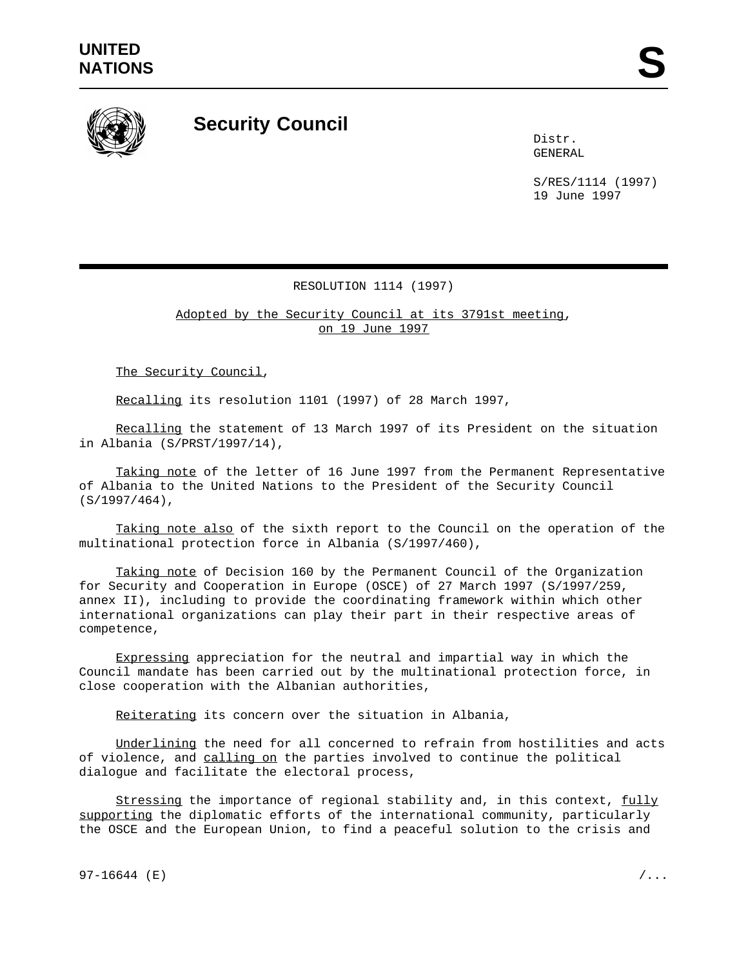

## **Security Council**

Distr. GENERAL

S/RES/1114 (1997) 19 June 1997

## RESOLUTION 1114 (1997)

Adopted by the Security Council at its 3791st meeting, on 19 June 1997

The Security Council,

Recalling its resolution 1101 (1997) of 28 March 1997,

Recalling the statement of 13 March 1997 of its President on the situation in Albania (S/PRST/1997/14),

Taking note of the letter of 16 June 1997 from the Permanent Representative of Albania to the United Nations to the President of the Security Council (S/1997/464),

Taking note also of the sixth report to the Council on the operation of the multinational protection force in Albania (S/1997/460),

Taking note of Decision 160 by the Permanent Council of the Organization for Security and Cooperation in Europe (OSCE) of 27 March 1997 (S/1997/259, annex II), including to provide the coordinating framework within which other international organizations can play their part in their respective areas of competence,

Expressing appreciation for the neutral and impartial way in which the Council mandate has been carried out by the multinational protection force, in close cooperation with the Albanian authorities,

Reiterating its concern over the situation in Albania,

Underlining the need for all concerned to refrain from hostilities and acts of violence, and calling on the parties involved to continue the political dialogue and facilitate the electoral process,

Stressing the importance of regional stability and, in this context, fully supporting the diplomatic efforts of the international community, particularly the OSCE and the European Union, to find a peaceful solution to the crisis and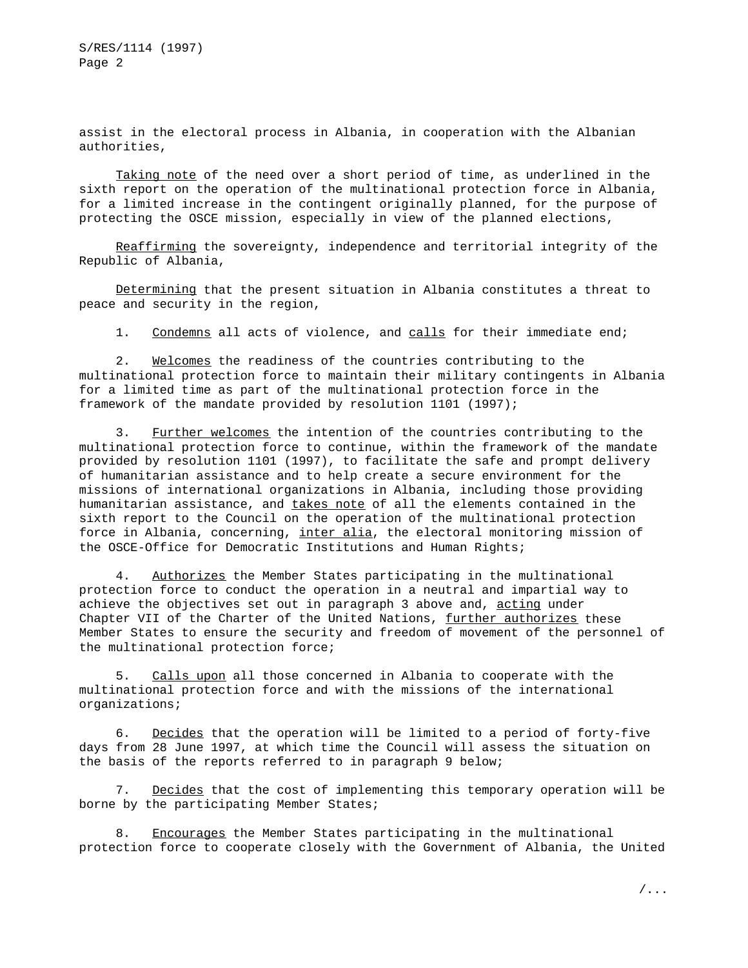S/RES/1114 (1997) Page 2

assist in the electoral process in Albania, in cooperation with the Albanian authorities,

Taking note of the need over a short period of time, as underlined in the sixth report on the operation of the multinational protection force in Albania, for a limited increase in the contingent originally planned, for the purpose of protecting the OSCE mission, especially in view of the planned elections,

Reaffirming the sovereignty, independence and territorial integrity of the Republic of Albania,

Determining that the present situation in Albania constitutes a threat to peace and security in the region,

1. Condemns all acts of violence, and calls for their immediate end;

2. Welcomes the readiness of the countries contributing to the multinational protection force to maintain their military contingents in Albania for a limited time as part of the multinational protection force in the framework of the mandate provided by resolution 1101 (1997);

3. Further welcomes the intention of the countries contributing to the multinational protection force to continue, within the framework of the mandate provided by resolution 1101 (1997), to facilitate the safe and prompt delivery of humanitarian assistance and to help create a secure environment for the missions of international organizations in Albania, including those providing humanitarian assistance, and takes note of all the elements contained in the sixth report to the Council on the operation of the multinational protection force in Albania, concerning, inter alia, the electoral monitoring mission of the OSCE-Office for Democratic Institutions and Human Rights;

4. Authorizes the Member States participating in the multinational protection force to conduct the operation in a neutral and impartial way to achieve the objectives set out in paragraph 3 above and, acting under Chapter VII of the Charter of the United Nations, further authorizes these Member States to ensure the security and freedom of movement of the personnel of the multinational protection force;

5. Calls upon all those concerned in Albania to cooperate with the multinational protection force and with the missions of the international organizations;

6. Decides that the operation will be limited to a period of forty-five days from 28 June 1997, at which time the Council will assess the situation on the basis of the reports referred to in paragraph 9 below;

7. Decides that the cost of implementing this temporary operation will be borne by the participating Member States;

8. Encourages the Member States participating in the multinational protection force to cooperate closely with the Government of Albania, the United